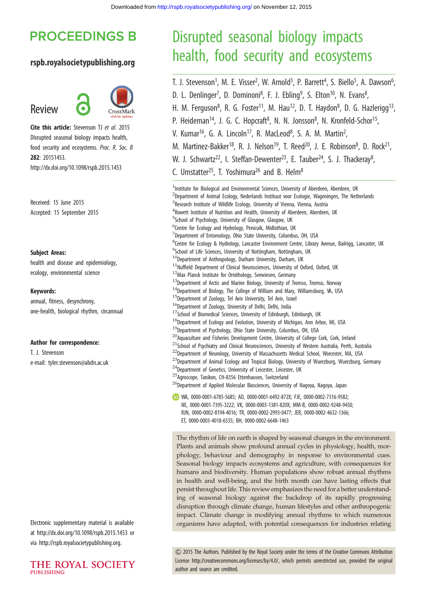# **PROCEEDINGS B**

#### rspb.royalsocietypublishing.org

# Review



Cite this article: Stevenson TJ et al. 2015 Disrupted seasonal biology impacts health, food security and ecosystems. Proc. R. Soc. B 282: 20151453. http://dx.doi.org/10.1098/rspb.2015.1453

Received: 15 June 2015 Accepted: 15 September 2015

#### Subject Areas:

health and disease and epidemiology, ecology, environmental science

#### Keywords:

annual, fitness, desynchrony, one-health, biological rhythm, circannual

#### Author for correspondence:

T. J. Stevenson e-mail: [tyler.stevenson@abdn.ac.uk](mailto:tyler.stevenson@abdn.ac.uk)

Electronic supplementary material is available at<http://dx.doi.org/10.1098/rspb.2015.1453> or via<http://rspb.royalsocietypublishing.org>.



# Disrupted seasonal biology impacts health, food security and ecosystems

T. J. Stevenson<sup>1</sup>, M. E. Visser<sup>2</sup>, W. Arnold<sup>3</sup>, P. Barrett<sup>4</sup>, S. Biello<sup>5</sup>, A. Dawson<sup>6</sup> .<br>ו D. L. Denlinger<sup>7</sup>, D. Dominoni<sup>8</sup>, F. J. Ebling<sup>9</sup>, S. Elton<sup>10</sup>, N. Evans<sup>8</sup> , H. M. Ferguson<sup>8</sup>, R. G. Foster<sup>11</sup>, M. Hau<sup>12</sup>, D. T. Haydon<sup>8</sup>, D. G. Hazlerigg<sup>13</sup>, P. Heideman<sup>14</sup>, J. G. C. Hopcraft<sup>8</sup>, N. N. Jonsson<sup>8</sup>, N. Kronfeld-Schor<sup>15</sup>, V. Kumar<sup>16</sup>, G. A. Lincoln<sup>17</sup>, R. MacLeod<sup>8</sup>, S. A. M. Martin<sup>2</sup> , M. Martinez-Bakker<sup>18</sup>, R. J. Nelson<sup>19</sup>, T. Reed<sup>20</sup>, J. E. Robinson<sup>8</sup>, D. Rock<sup>21</sup>, W. J. Schwartz<sup>22</sup>, I. Steffan-Dewenter<sup>23</sup>, E. Tauber<sup>24</sup>, S. J. Thackeray<sup>8</sup>, , C. Umstatter<sup>25</sup>, T. Yoshimura<sup>26</sup> and B. Helm<sup>8</sup> <sup>1</sup>Institute for Biological and Environmental Sciences, University of Aberdeen, Aberdeen, UK <sup>2</sup>Department of Animal Ecology, Nederlands Instituut voor Ecologie, Wageningen, The Netherlands

<sup>3</sup>Research Institute of Wildlife Ecology, University of Vienna, Vienna, Austria <sup>4</sup> Rowett Institute of Nutrition and Health, University of Aberdeen, Aberdeen, UK <sup>5</sup>School of Psychology, University of Glasgow, Glasgow, UK <sup>6</sup>Centre for Ecology and Hydrology, Penicuik, Midlothian, UK  $^{7}$ Department of Entomology, Ohio State University, Columbus, OH, USA <sup>8</sup>Centre for Ecology & Hydrology, Lancaster Environment Centre, Library Avenue, Bailrigg, Lancaster, UK <sup>9</sup>School of Life Sciences, University of Nottingham, Nottingham, UK  $10$ Department of Anthropology, Durham University, Durham, UK  $11$ Nuffield Department of Clinical Neurosciences, University of Oxford, Oxford, UK <sup>12</sup>Max Planck Institute for Ornithology, Seewiesen, Germany  $^{13}$ Department of Arctic and Marine Biology, University of Tromso, Tromso, Norway  $14$ Department of Biology, The College of William and Mary, Williamsburg, VA, USA  $15$ Department of Zoology, Tel Aviv University, Tel Aviv, Israel <sup>16</sup>Department of Zoology, University of Delhi, Delhi, India  $17$ School of Biomedical Sciences, University of Edinburgh, Edinburgh, UK  $^{18}$ Department of Ecology and Evolution, University of Michigan, Ann Arbor, MI, USA <sup>19</sup>Department of Psychology, Ohio State University, Columbus, OH, USA <sup>20</sup> Aquaculture and Fisheries Development Centre, University of College Cork, Cork, Ireland  $21$ School of Psychiatry and Clinical Neurosciences, University of Western Australia, Perth, Australia <sup>22</sup>Department of Neurology, University of Massachusetts Medical School, Worcester, MA, USA <sup>23</sup>Department of Animal Ecology and Tropical Biology, University of Wuerzburg, Wuerzburg, Germany  $^{24}$ Department of Genetics, University of Leicester, Leicester, UK <sup>25</sup>Agroscope, Tanikon, CH-8356 Ettenhausen, Switzerland  $^{26}$ Department of Applied Molecular Biosciences, University of Nagoya, Nagoya, Japan WA, [0000-0001-6785-5685](http://orcid.org/0000-0001-6785-5685); AD, [0000-0001-6492-872X;](http://orcid.org/0000-0001-6492-872X) FJE, [0000-0002-7316-9582;](http://orcid.org/0000-0002-7316-9582) NE, [0000-0001-7395-3222;](http://orcid.org/0000-0001-7395-3222) VK, [0000-0003-1381-820X;](http://orcid.org/0000-0003-1381-820X) MM-B, [0000-0002-9248-9450](http://orcid.org/0000-0002-9248-9450); RJN, [0000-0002-8194-4016;](http://orcid.org/0000-0002-8194-4016) TR, [0000-0002-2993-0477](http://orcid.org/0000-0002-2993-0477); JER, [0000-0002-4632-1366;](http://orcid.org/0000-0002-4632-1366)

ET, [0000-0003-4018-6535](http://orcid.org/0000-0003-4018-6535); BH, [0000-0002-6648-1463](http://orcid.org/0000-0002-6648-1463)

The rhythm of life on earth is shaped by seasonal changes in the environment. Plants and animals show profound annual cycles in physiology, health, morphology, behaviour and demography in response to environmental cues. Seasonal biology impacts ecosystems and agriculture, with consequences for humans and biodiversity. Human populations show robust annual rhythms in health and well-being, and the birth month can have lasting effects that persist throughout life. This review emphasizes the need for a better understanding of seasonal biology against the backdrop of its rapidly progressing disruption through climate change, human lifestyles and other anthropogenic impact. Climate change is modifying annual rhythms to which numerous organisms have adapted, with potential consequences for industries relating

& 2015 The Authors. Published by the Royal Society under the terms of the Creative Commons Attribution License [http://creativecommons.org/licenses/by/4.0/, which permits unrestricted use, provided the original](http://creativecommons.org/licenses/by/4.0/) [author and source are credited.](http://creativecommons.org/licenses/by/4.0/)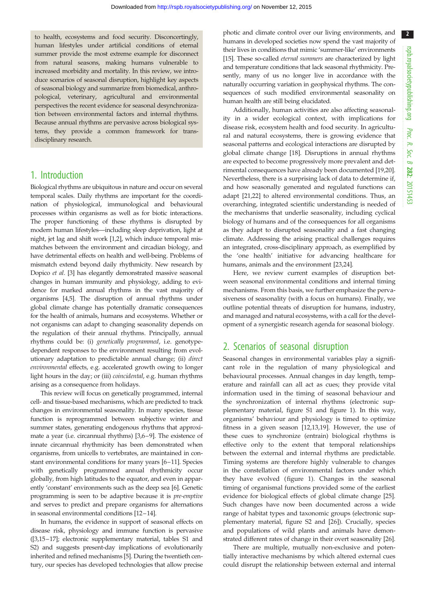2

to health, ecosystems and food security. Disconcertingly, human lifestyles under artificial conditions of eternal summer provide the most extreme example for disconnect from natural seasons, making humans vulnerable to increased morbidity and mortality. In this review, we introduce scenarios of seasonal disruption, highlight key aspects of seasonal biology and summarize from biomedical, anthropological, veterinary, agricultural and environmental perspectives the recent evidence for seasonal desynchronization between environmental factors and internal rhythms. Because annual rhythms are pervasive across biological systems, they provide a common framework for transdisciplinary research.

#### 1. Introduction

Biological rhythms are ubiquitous in nature and occur on several temporal scales. Daily rhythms are important for the coordination of physiological, immunological and behavioural processes within organisms as well as for biotic interactions. The proper functioning of these rhythms is disrupted by modern human lifestyles—including sleep deprivation, light at night, jet lag and shift work [\[1,2](#page-6-0)], which induce temporal mismatches between the environment and circadian biology, and have detrimental effects on health and well-being. Problems of mismatch extend beyond daily rhythmicity. New research by Dopico et al. [\[3\]](#page-6-0) has elegantly demonstrated massive seasonal changes in human immunity and physiology, adding to evidence for marked annual rhythms in the vast majority of organisms [\[4,5](#page-6-0)]. The disruption of annual rhythms under global climate change has potentially dramatic consequences for the health of animals, humans and ecosystems. Whether or not organisms can adapt to changing seasonality depends on the regulation of their annual rhythms. Principally, annual rhythms could be: (i) genetically programmed, i.e. genotypedependent responses to the environment resulting from evolutionary adaptation to predictable annual change; (ii) direct environmental effects, e.g. accelerated growth owing to longer light hours in the day; or (iii) coincidental, e.g. human rhythms arising as a consequence from holidays.

This review will focus on genetically programmed, internal cell- and tissue-based mechanisms, which are predicted to track changes in environmental seasonality. In many species, tissue function is reprogrammed between subjective winter and summer states, generating endogenous rhythms that approximate a year (i.e. circannual rhythms) [[3,6](#page-6-0)–[9](#page-7-0)]. The existence of innate circannual rhythmicity has been demonstrated when organisms, from unicells to vertebrates, are maintained in constant environmental conditions for many years [[6](#page-6-0)–[11\]](#page-7-0). Species with genetically programmed annual rhythmicity occur globally, from high latitudes to the equator, and even in apparently 'constant' environments such as the deep sea [[6\]](#page-6-0). Genetic programming is seen to be adaptive because it is pre-emptive and serves to predict and prepare organisms for alternations in seasonal environmental conditions [\[12](#page-7-0)–[14](#page-7-0)].

In humans, the evidence in support of seasonal effects on disease risk, physiology and immune function is pervasive ([\[3](#page-6-0),[15](#page-7-0)–[17](#page-7-0)]; electronic supplementary material, tables S1 and S2) and suggests present-day implications of evolutionarily inherited and refined mechanisms [[5](#page-6-0)]. During the twentieth century, our species has developed technologies that allow precise photic and climate control over our living environments, and humans in developed societies now spend the vast majority of their lives in conditions that mimic 'summer-like' environments [[15](#page-7-0)]. These so-called *eternal summers* are characterized by light and temperature conditions that lack seasonal rhythmicity. Presently, many of us no longer live in accordance with the naturally occurring variation in geophysical rhythms. The consequences of such modified environmental seasonality on human health are still being elucidated.

Additionally, human activities are also affecting seasonality in a wider ecological context, with implications for disease risk, ecosystem health and food security. In agricultural and natural ecosystems, there is growing evidence that seasonal patterns and ecological interactions are disrupted by global climate change [[18\]](#page-7-0). Disruptions in annual rhythms are expected to become progressively more prevalent and detrimental consequences have already been documented [[19,20\]](#page-7-0). Nevertheless, there is a surprising lack of data to determine if, and how seasonally generated and regulated functions can adapt [\[21](#page-7-0),[22](#page-7-0)] to altered environmental conditions. Thus, an overarching, integrated scientific understanding is needed of the mechanisms that underlie seasonality, including cyclical biology of humans and of the consequences for all organisms as they adapt to disrupted seasonality and a fast changing climate. Addressing the arising practical challenges requires an integrated, cross-disciplinary approach, as exemplified by the 'one health' initiative for advancing healthcare for humans, animals and the environment [[23,24](#page-7-0)].

Here, we review current examples of disruption between seasonal environmental conditions and internal timing mechanisms. From this basis, we further emphasize the pervasiveness of seasonality (with a focus on humans). Finally, we outline potential threats of disruption for humans, industry, and managed and natural ecosystems, with a call for the development of a synergistic research agenda for seasonal biology.

### 2. Scenarios of seasonal disruption

Seasonal changes in environmental variables play a significant role in the regulation of many physiological and behavioural processes. Annual changes in day length, temperature and rainfall can all act as cues; they provide vital information used in the timing of seasonal behaviour and the synchronization of internal rhythms (electronic supplementary material, figure S1 and [figure 1](#page-2-0)). In this way, organisms' behaviour and physiology is timed to optimize fitness in a given season [[12,13,19](#page-7-0)]. However, the use of these cues to synchronize (entrain) biological rhythms is effective only to the extent that temporal relationships between the external and internal rhythms are predictable. Timing systems are therefore highly vulnerable to changes in the constellation of environmental factors under which they have evolved [\(figure 1](#page-2-0)). Changes in the seasonal timing of organismal functions provided some of the earliest evidence for biological effects of global climate change [[25\]](#page-7-0). Such changes have now been documented across a wide range of habitat types and taxonomic groups (electronic supplementary material, figure S2 and [\[26](#page-7-0)]). Crucially, species and populations of wild plants and animals have demonstrated different rates of change in their overt seasonality [[26\]](#page-7-0).

There are multiple, mutually non-exclusive and potentially interactive mechanisms by which altered external cues could disrupt the relationship between external and internal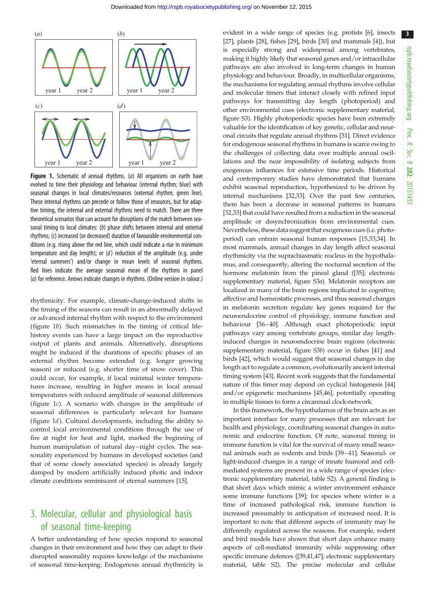<span id="page-2-0"></span>

Figure 1. Schematic of annual rhythms. (a) All organisms on earth have evolved to time their physiology and behaviour (internal rhythm; blue) with seasonal changes in local climates/resources (external rhythm; green line). These internal rhythms can precede or follow those of resources, but for adaptive timing, the internal and external rhythms need to match. There are three theoretical scenarios that can account for disruptions of the match between seasonal timing to local climates: (b) phase shifts between internal and external rhythms; (c) increased (or decreased) duration of favourable environmental conditions (e.g. rising above the red line, which could indicate a rise in minimum temperature and day length); or (d) reduction of the amplitude (e.g. under 'eternal summers') and/or change in mean levels of seasonal rhythms. Red lines indicate the average seasonal mean of the rhythms in panel (a) for reference. Arrows indicate changes in rhythms. (Online version in colour.)

rhythmicity. For example, climate-change-induced shifts in the timing of the seasons can result in an abnormally delayed or advanced internal rhythm with respect to the environment (figure 1b). Such mismatches in the timing of critical lifehistory events can have a large impact on the reproductive output of plants and animals. Alternatively, disruptions might be induced if the durations of specific phases of an external rhythm become extended (e.g. longer growing season) or reduced (e.g. shorter time of snow cover). This could occur, for example, if local minimal winter temperatures increase, resulting in higher means in local annual temperatures with reduced amplitude of seasonal differences (figure 1c). A scenario with changes in the amplitude of seasonal differences is particularly relevant for humans (figure 1d). Cultural developments, including the ability to control local environmental conditions through the use of fire at night for heat and light, marked the beginning of human manipulation of natural day-night cycles. The seasonality experienced by humans in developed societies (and that of some closely associated species) is already largely damped by modern artificially induced photic and indoor climate conditions reminiscent of eternal summers [\[15](#page-7-0)].

## 3. Molecular, cellular and physiological basis of seasonal time-keeping

A better understanding of how species respond to seasonal changes in their environment and how they can adapt to their disrupted seasonality requires knowledge of the mechanisms of seasonal time-keeping. Endogenous annual rhythmicity is

evident in a wide range of species (e.g. protists [\[6\]](#page-6-0), insects [[27](#page-7-0)], plants [\[28\]](#page-7-0), fishes [\[29](#page-7-0)], birds [[30\]](#page-7-0) and mammals [\[4\]](#page-6-0)), but is especially strong and widespread among vertebrates, making it highly likely that seasonal genes and/or intracellular pathways are also involved in long-term changes in human physiology and behaviour. Broadly, in multicellular organisms, the mechanisms for regulating annual rhythms involve cellular and molecular timers that interact closely with refined input pathways for transmitting day length (photoperiod) and other environmental cues (electronic supplementary material, figure S3). Highly photoperiodic species have been extremely valuable for the identification of key genetic, cellular and neuronal circuits that regulate annual rhythms [\[31\]](#page-7-0). Direct evidence for endogenous seasonal rhythms in humans is scarce owing to the challenges of collecting data over multiple annual oscillations and the near impossibility of isolating subjects from exogenous influences for extensive time periods. Historical and contemporary studies have demonstrated that humans exhibit seasonal reproduction, hypothesized to be driven by internal mechanisms [[32,33\]](#page-7-0). Over the past few centuries, there has been a decrease in seasonal patterns in humans [[32](#page-7-0),[33](#page-7-0)] that could have resulted from a reduction in the seasonal amplitude or desynchronization from environmental cues. Nevertheless, these data suggest that exogenous cues (i.e. photoperiod) can entrain seasonal human responses [\[15,33,34\]](#page-7-0). In most mammals, annual changes in day length affect seasonal rhythmicity via the suprachiasmatic nucleus in the hypothalamus, and consequently, altering the nocturnal secretion of the hormone melatonin from the pineal gland ([\[35](#page-7-0)]; electronic supplementary material, figure S3a). Melatonin receptors are localized in many of the brain regions implicated in cognitive, affective and homeostatic processes, and thus seasonal changes in melatonin secretion regulate key genes required for the neuroendocrine control of physiology, immune function and behaviour [\[36](#page-7-0)–[40](#page-7-0)]. Although exact photoperiodic input pathways vary among vertebrate groups, similar day lengthinduced changes in neuroendocrine brain regions (electronic supplementary material, figure S3b) occur in fishes [\[41](#page-7-0)] and birds [\[42\]](#page-7-0), which would suggest that seasonal changes in day length act to regulate a common, evolutionarily ancient internal timing system [[43\]](#page-7-0). Recent work suggests that the fundamental nature of this timer may depend on cyclical histogenesis [\[44\]](#page-7-0) and/or epigenetic mechanisms [[45,46\]](#page-7-0), potentially operating in multiple tissues to form a circannual clock-network.

In this framework, the hypothalamus of the brain acts as an important interface for many processes that are relevant for health and physiology, coordinating seasonal changes in autonomic and endocrine function. Of note, seasonal timing in immune function is vital for the survival of many small seasonal animals such as rodents and birds [[39](#page-7-0)–[41\]](#page-7-0). Seasonal- or light-induced changes in a range of innate humoral and cellmediated systems are present in a wide range of species (electronic supplementary material, table S2). A general finding is that short days which mimic a winter environment enhance some immune functions [\[39](#page-7-0)]; for species where winter is a time of increased pathological risk, immune function is increased presumably in anticipation of increased need. It is important to note that different aspects of immunity may be differently regulated across the seasons. For example, rodent and bird models have shown that short days enhance many aspects of cell-mediated immunity while suppressing other specific immune defences ([\[39,41,47\]](#page-7-0); electronic supplementary material, table S2). The precise molecular and cellular 3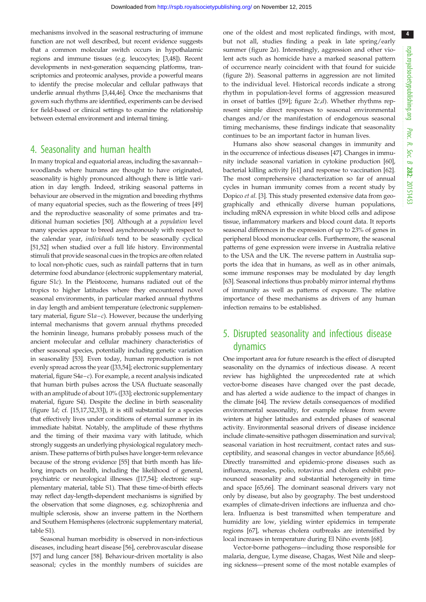4

mechanisms involved in the seasonal restructuring of immune function are not well described, but recent evidence suggests that a common molecular switch occurs in hypothalamic regions and immune tissues (e.g. leucocytes; [[3,](#page-6-0)[48\]](#page-7-0)). Recent developments in next-generation sequencing platforms, transcriptomics and proteomic analyses, provide a powerful means to identify the precise molecular and cellular pathways that underlie annual rhythms [[3](#page-6-0)[,44,46\]](#page-7-0). Once the mechanisms that govern such rhythms are identified, experiments can be devised for field-based or clinical settings to examine the relationship between external environment and internal timing.

#### 4. Seasonality and human health

In many tropical and equatorial areas, including the savannah– woodlands where humans are thought to have originated, seasonality is highly pronounced although there is little variation in day length. Indeed, striking seasonal patterns in behaviour are observed in the migration and breeding rhythms of many equatorial species, such as the flowering of trees [[49\]](#page-7-0) and the reproductive seasonality of some primates and traditional human societies [\[50](#page-7-0)]. Although at a population level many species appear to breed asynchronously with respect to the calendar year, individuals tend to be seasonally cyclical [\[51,52](#page-7-0)] when studied over a full life history. Environmental stimuli that provide seasonal cues in the tropics are often related to local non-photic cues, such as rainfall patterns that in turn determine food abundance (electronic supplementary material, figure S1c). In the Pleistocene, humans radiated out of the tropics to higher latitudes where they encountered novel seasonal environments, in particular marked annual rhythms in day length and ambient temperature (electronic supplementary material, figure  $S1a-c$ ). However, because the underlying internal mechanisms that govern annual rhythms preceded the hominin lineage, humans probably possess much of the ancient molecular and cellular machinery characteristics of other seasonal species, potentially including genetic variation in seasonality [\[53\]](#page-8-0). Even today, human reproduction is not evenly spread across the year ([\[33,](#page-7-0)[54\]](#page-8-0); electronic supplementary material, figure S4a–c). For example, a recent analysis indicated that human birth pulses across the USA fluctuate seasonally with an amplitude of about 10% ([\[33](#page-7-0)]; electronic supplementary material, figure S4). Despite the decline in birth seasonality [\(figure 1](#page-2-0)d; cf. [[15,17,32,33\]](#page-7-0)), it is still substantial for a species that effectively lives under conditions of eternal summer in its immediate habitat. Notably, the amplitude of these rhythms and the timing of their maxima vary with latitude, which strongly suggests an underlying physiological regulatory mechanism. These patterns of birth pulses have longer-term relevance because of the strong evidence [\[55\]](#page-8-0) that birth month has lifelong impacts on health, including the likelihood of general, psychiatric or neurological illnesses ([[17](#page-7-0),[54](#page-8-0)]; electronic supplementary material, table S1). That these time-of-birth effects may reflect day-length-dependent mechanisms is signified by the observation that some diagnoses, e.g. schizophrenia and multiple sclerosis, show an inverse pattern in the Northern and Southern Hemispheres (electronic supplementary material, table S1).

Seasonal human morbidity is observed in non-infectious diseases, including heart disease [[56\]](#page-8-0), cerebrovascular disease [\[57](#page-8-0)] and lung cancer [\[58](#page-8-0)]. Behaviour-driven mortality is also seasonal; cycles in the monthly numbers of suicides are

one of the oldest and most replicated findings, with most, but not all, studies finding a peak in late spring/early summer ([figure 2](#page-4-0)a). Interestingly, aggression and other violent acts such as homicide have a marked seasonal pattern of occurrence nearly coincident with that found for suicide ([figure 2](#page-4-0)b). Seasonal patterns in aggression are not limited to the individual level. Historical records indicate a strong rhythm in population-level forms of aggression measured in onset of battles ([\[59](#page-8-0)]; figure  $2c,d$ ). Whether rhythms represent simple direct responses to seasonal environmental changes and/or the manifestation of endogenous seasonal timing mechanisms, these findings indicate that seasonality continues to be an important factor in human lives.

Humans also show seasonal changes in immunity and in the occurrence of infectious diseases [\[47](#page-7-0)]. Changes in immunity include seasonal variation in cytokine production [[60\]](#page-8-0), bacterial killing activity [\[61](#page-8-0)] and response to vaccination [[62\]](#page-8-0). The most comprehensive characterization so far of annual cycles in human immunity comes from a recent study by Dopico et al. [\[3](#page-6-0)]. This study presented extensive data from geographically and ethnically diverse human populations, including mRNA expression in white blood cells and adipose tissue, inflammatory markers and blood count data. It reports seasonal differences in the expression of up to 23% of genes in peripheral blood mononuclear cells. Furthermore, the seasonal patterns of gene expression were inverse in Australia relative to the USA and the UK. The reverse pattern in Australia supports the idea that in humans, as well as in other animals, some immune responses may be modulated by day length [[63](#page-8-0)]. Seasonal infections thus probably mirror internal rhythms of immunity as well as patterns of exposure. The relative importance of these mechanisms as drivers of any human infection remains to be established.

## 5. Disrupted seasonality and infectious disease dynamics

One important area for future research is the effect of disrupted seasonality on the dynamics of infectious disease. A recent review has highlighted the unprecedented rate at which vector-borne diseases have changed over the past decade, and has alerted a wide audience to the impact of changes in the climate [\[64](#page-8-0)]. The review details consequences of modified environmental seasonality, for example release from severe winters at higher latitudes and extended phases of seasonal activity. Environmental seasonal drivers of disease incidence include climate-sensitive pathogen dissemination and survival; seasonal variation in host recruitment, contact rates and susceptibility, and seasonal changes in vector abundance [[65,66\]](#page-8-0). Directly transmitted and epidemic-prone diseases such as influenza, measles, polio, rotavirus and cholera exhibit pronounced seasonality and substantial heterogeneity in time and space [\[65,66](#page-8-0)]. The dominant seasonal drivers vary not only by disease, but also by geography. The best understood examples of climate-driven infections are influenza and cholera. Influenza is best transmitted when temperature and humidity are low, yielding winter epidemics in temperate regions [\[67](#page-8-0)], whereas cholera outbreaks are intensified by local increases in temperature during El Niño events [[68\]](#page-8-0).

Vector-borne pathogens—including those responsible for malaria, dengue, Lyme disease, Chagas, West Nile and sleeping sickness—present some of the most notable examples of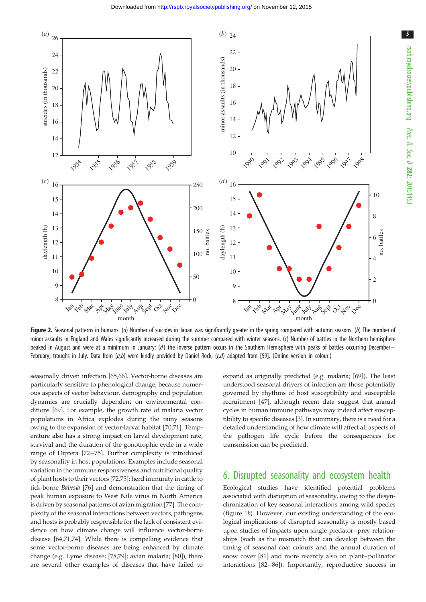<span id="page-4-0"></span>

Figure 2. Seasonal patterns in humans. (a) Number of suicides in Japan was significantly greater in the spring compared with autumn seasons. (b) The number of minor assaults in England and Wales significantly increased during the summer compared with winter seasons. (c) Number of battles in the Northern hemisphere peaked in August and were at a minimum in January; (d) the inverse pattern occurs in the Southern Hemisphere with peaks of battles occurring December– February; troughs in July. Data from  $(a,b)$  were kindly provided by Daniel Rock;  $(c,d)$  adapted from [\[59](#page-8-0)]. (Online version in colour.)

seasonally driven infection [\[65](#page-8-0),[66](#page-8-0)]. Vector-borne diseases are particularly sensitive to phenological change, because numerous aspects of vector behaviour, demography and population dynamics are crucially dependent on environmental conditions [[69\]](#page-8-0). For example, the growth rate of malaria vector populations in Africa explodes during the rainy seasons owing to the expansion of vector-larval habitat [[70,71\]](#page-8-0). Temperature also has a strong impact on larval development rate, survival and the duration of the gonotrophic cycle in a wide range of Diptera [[72](#page-8-0)–[75\]](#page-8-0). Further complexity is introduced by seasonality in host populations. Examples include seasonal variation in the immune responsiveness and nutritional quality of plant hosts to their vectors [[72,75](#page-8-0)]; herd immunity in cattle to tick-borne Babesia [\[76](#page-8-0)] and demonstration that the timing of peak human exposure to West Nile virus in North America is driven by seasonal patterns of avian migration [[77\]](#page-8-0). The complexity of the seasonal interactions between vectors, pathogens and hosts is probably responsible for the lack of consistent evidence on how climate change will influence vector-borne disease [\[64,71,74](#page-8-0)]. While there is compelling evidence that some vector-borne diseases are being enhanced by climate change (e.g. Lyme disease; [\[78,79](#page-8-0)]; avian malaria; [\[80](#page-8-0)]), there are several other examples of diseases that have failed to expand as originally predicted (e.g. malaria; [\[69](#page-8-0)]). The least understood seasonal drivers of infection are those potentially governed by rhythms of host susceptibility and susceptible recruitment [[47\]](#page-7-0), although recent data suggest that annual cycles in human immune pathways may indeed affect susceptibility to specific diseases [\[3](#page-6-0)]. In summary, there is a need for a detailed understanding of how climate will affect all aspects of the pathogen life cycle before the consequences for transmission can be predicted.

#### 6. Disrupted seasonality and ecosystem health

Ecological studies have identified potential problems associated with disruption of seasonality, owing to the desynchronization of key seasonal interactions among wild species ([figure 1](#page-2-0)b). However, our existing understanding of the ecological implications of disrupted seasonality is mostly based upon studies of impacts upon single predator–prey relationships (such as the mismatch that can develop between the timing of seasonal coat colours and the annual duration of snow cover [[81\]](#page-8-0) and more recently also on plant–pollinator interactions [[82](#page-8-0)–[86](#page-8-0)]). Importantly, reproductive success in 5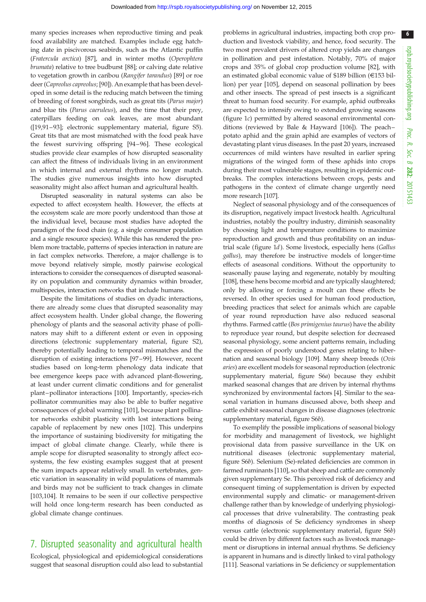many species increases when reproductive timing and peak food availability are matched. Examples include egg hatching date in piscivorous seabirds, such as the Atlantic puffin (Fratercula arctica) [\[87](#page-8-0)], and in winter moths (Operophtera brumata) relative to tree budburst [[88](#page-8-0)]; or calving date relative to vegetation growth in caribou (Rangifer tarandus) [[89\]](#page-8-0) or roe deer (Capreolus capreolus; [\[90](#page-8-0)]). An example that has been developed in some detail is the reducing match between the timing of breeding of forest songbirds, such as great tits (Parus major) and blue tits (Parus caeruleus), and the time that their prey, caterpillars feeding on oak leaves, are most abundant ([\[19](#page-7-0)[,91](#page-8-0)–[93](#page-8-0)]; electronic supplementary material, figure S5). Great tits that are most mismatched with the food peak have the fewest surviving offspring [[94](#page-8-0)–[96\]](#page-9-0). These ecological studies provide clear examples of how disrupted seasonality can affect the fitness of individuals living in an environment in which internal and external rhythms no longer match. The studies give numerous insights into how disrupted seasonality might also affect human and agricultural health.

Disrupted seasonality in natural systems can also be expected to affect ecosystem health. However, the effects at the ecosystem scale are more poorly understood than those at the individual level, because most studies have adopted the paradigm of the food chain (e.g. a single consumer population and a single resource species). While this has rendered the problem more tractable, patterns of species interaction in nature are in fact complex networks. Therefore, a major challenge is to move beyond relatively simple, mostly pairwise ecological interactions to consider the consequences of disrupted seasonality on population and community dynamics within broader, multispecies, interaction networks that include humans.

Despite the limitations of studies on dyadic interactions, there are already some clues that disrupted seasonality may affect ecosystem health. Under global change, the flowering phenology of plants and the seasonal activity phase of pollinators may shift to a different extent or even in opposing directions (electronic supplementary material, figure S2), thereby potentially leading to temporal mismatches and the disruption of existing interactions [[97](#page-9-0) –[99](#page-9-0)]. However, recent studies based on long-term phenology data indicate that bee emergence keeps pace with advanced plant-flowering, at least under current climatic conditions and for generalist plant –pollinator interactions [[100](#page-9-0)]. Importantly, species-rich pollinator communities may also be able to buffer negative consequences of global warming [\[101\]](#page-9-0), because plant pollinator networks exhibit plasticity with lost interactions being capable of replacement by new ones [[102](#page-9-0)]. This underpins the importance of sustaining biodiversity for mitigating the impact of global climate change. Clearly, while there is ample scope for disrupted seasonality to strongly affect ecosystems, the few existing examples suggest that at present the sum impacts appear relatively small. In vertebrates, genetic variation in seasonality in wild populations of mammals and birds may not be sufficient to track changes in climate [\[103,104\]](#page-9-0). It remains to be seen if our collective perspective will hold once long-term research has been conducted as global climate change continues.

### 7. Disrupted seasonality and agricultural health

Ecological, physiological and epidemiological considerations suggest that seasonal disruption could also lead to substantial problems in agricultural industries, impacting both crop production and livestock viability, and hence, food security. The two most prevalent drivers of altered crop yields are changes in pollination and pest infestation. Notably, 70% of major crops and 35% of global crop production volume [\[82](#page-8-0)], with an estimated global economic value of \$189 billion (E153 billion) per year [\[105\]](#page-9-0), depend on seasonal pollination by bees and other insects. The spread of pest insects is a significant threat to human food security. For example, aphid outbreaks are expected to intensify owing to extended growing seasons ([figure 1](#page-2-0)c) permitted by altered seasonal environmental conditions (reviewed by Bale & Hayward [\[106\]](#page-9-0)). The peach– potato aphid and the grain aphid are examples of vectors of devastating plant virus diseases. In the past 20 years, increased occurrences of mild winters have resulted in earlier spring migrations of the winged form of these aphids into crops during their most vulnerable stages, resulting in epidemic outbreaks. The complex interactions between crops, pests and pathogens in the context of climate change urgently need more research [[107](#page-9-0)].

Neglect of seasonal physiology and of the consequences of its disruption, negatively impact livestock health. Agricultural industries, notably the poultry industry, diminish seasonality by choosing light and temperature conditions to maximize reproduction and growth and thus profitability on an industrial scale [\(figure 1](#page-2-0)d). Some livestock, especially hens (Gallus gallus), may therefore be instructive models of longer-time effects of aseasonal conditions. Without the opportunity to seasonally pause laying and regenerate, notably by moulting [[108](#page-9-0)], these hens become morbid and are typically slaughtered; only by allowing or forcing a moult can these effects be reversed. In other species used for human food production, breeding practices that select for animals which are capable of year round reproduction have also reduced seasonal rhythms. Farmed cattle (Bos primigenius taurus) have the ability to reproduce year round, but despite selection for decreased seasonal physiology, some ancient patterns remain, including the expression of poorly understood genes relating to hibernation and seasonal biology [\[109](#page-9-0)]. Many sheep breeds (Ovis aries) are excellent models for seasonal reproduction (electronic supplementary material, figure S6a) because they exhibit marked seasonal changes that are driven by internal rhythms synchronized by environmental factors [[4](#page-6-0)]. Similar to the seasonal variation in humans discussed above, both sheep and cattle exhibit seasonal changes in disease diagnoses (electronic supplementary material, figure S6b).

To exemplify the possible implications of seasonal biology for morbidity and management of livestock, we highlight provisional data from passive surveillance in the UK on nutritional diseases (electronic supplementary material, figure S6b). Selenium (Se)-related deficiencies are common in farmed ruminants [[110\]](#page-9-0), so that sheep and cattle are commonly given supplementary Se. This perceived risk of deficiency and consequent timing of supplementation is driven by expected environmental supply and climatic- or management-driven challenge rather than by knowledge of underlying physiological processes that drive vulnerability. The contrasting peak months of diagnosis of Se deficiency syndromes in sheep versus cattle (electronic supplementary material, figure S6b) could be driven by different factors such as livestock management or disruptions in internal annual rhythms. Se deficiency is apparent in humans and is directly linked to viral pathology [[111](#page-9-0)]. Seasonal variations in Se deficiency or supplementation 6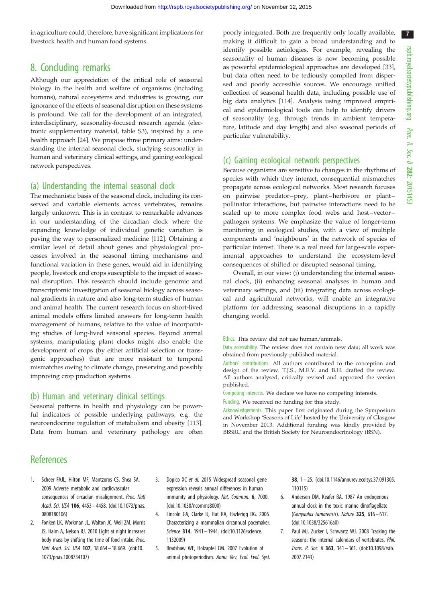7

<span id="page-6-0"></span>in agriculture could, therefore, have significant implications for livestock health and human food systems.

#### 8. Concluding remarks

Although our appreciation of the critical role of seasonal biology in the health and welfare of organisms (including humans), natural ecosystems and industries is growing, our ignorance of the effects of seasonal disruption on these systems is profound. We call for the development of an integrated, interdisciplinary, seasonality-focused research agenda (electronic supplementary material, table S3), inspired by a one health approach [\[24](#page-7-0)]. We propose three primary aims: understanding the internal seasonal clock, studying seasonality in human and veterinary clinical settings, and gaining ecological network perspectives.

#### (a) Understanding the internal seasonal clock

The mechanistic basis of the seasonal clock, including its conserved and variable elements across vertebrates, remains largely unknown. This is in contrast to remarkable advances in our understanding of the circadian clock where the expanding knowledge of individual genetic variation is paving the way to personalized medicine [\[112\]](#page-9-0). Obtaining a similar level of detail about genes and physiological processes involved in the seasonal timing mechanisms and functional variation in these genes, would aid in identifying people, livestock and crops susceptible to the impact of seasonal disruption. This research should include genomic and transcriptomic investigation of seasonal biology across seasonal gradients in nature and also long-term studies of human and animal health. The current research focus on short-lived animal models offers limited answers for long-term health management of humans, relative to the value of incorporating studies of long-lived seasonal species. Beyond animal systems, manipulating plant clocks might also enable the development of crops (by either artificial selection or transgenic approaches) that are more resistant to temporal mismatches owing to climate change, preserving and possibly improving crop production systems.

#### (b) Human and veterinary clinical settings

Seasonal patterns in health and physiology can be powerful indicators of possible underlying pathways, e.g. the neuroendocrine regulation of metabolism and obesity [[113](#page-9-0)]. Data from human and veterinary pathology are often

#### **References**

- 1. Scheer FAJL, Hilton MF, Mantzoros CS, Shea SA. 2009 Adverse metabolic and cardiovascular consequences of circadian misalignment. Proc. Natl Acad. Sci. USA 106, 4453– 4458. [\(doi:10.1073/pnas.](http://dx.doi.org/10.1073/pnas.0808180106) [0808180106\)](http://dx.doi.org/10.1073/pnas.0808180106)
- 2. Fonken LK, Workman JL, Walton JC, Weil ZM, Morris JS, Haim A, Nelson RJ. 2010 Light at night increases body mass by shifting the time of food intake. Proc. Natl Acad. Sci. USA 107, 18 664– 18 669. ([doi:10.](http://dx.doi.org/10.1073/pnas.1008734107) [1073/pnas.1008734107](http://dx.doi.org/10.1073/pnas.1008734107))
- 3. Dopico XC et al. 2015 Widespread seasonal gene expression reveals annual differences in human immunity and physiology. Nat. Commun. 6, 7000. [\(doi:10.1038/ncomms8000](http://dx.doi.org/10.1038/ncomms8000))
- 4. Lincoln GA, Clarke IJ, Hut RA, Hazlerigg DG. 2006 Characterizing a mammalian circannual pacemaker. Science 314, 1941-1944. [\(doi:10.1126/science.](http://dx.doi.org/10.1126/science.1132009) [1132009\)](http://dx.doi.org/10.1126/science.1132009)
- 5. Bradshaw WE, Holzapfel CM. 2007 Evolution of animal photoperiodism. Annu. Rev. Ecol. Evol. Syst.

38, 1 – 25. [\(doi:10.1146/annurev.ecolsys.37.091305.](http://dx.doi.org/10.1146/annurev.ecolsys.37.091305.110115) [110115\)](http://dx.doi.org/10.1146/annurev.ecolsys.37.091305.110115)

- 6. Andersen DM, Keafer BA. 1987 An endogenous annual clock in the toxic marine dinoflagellate (Gonyaulax tamarensis). Nature 325, 616– 617. ([doi:10.1038/325616a0](http://dx.doi.org/10.1038/325616a0))
- 7. Paul MJ, Zucker I, Schwartz WJ. 2008 Tracking the seasons: the internal calendars of vertebrates. Phil. Trans. R. Soc. B 363, 341– 361. [\(doi:10.1098/rstb.](http://dx.doi.org/10.1098/rstb.2007.2143) [2007.2143](http://dx.doi.org/10.1098/rstb.2007.2143))

poorly integrated. Both are frequently only locally available, making it difficult to gain a broad understanding and to identify possible aetiologies. For example, revealing the seasonality of human diseases is now becoming possible as powerful epidemiological approaches are developed [[33\]](#page-7-0), but data often need to be tediously compiled from dispersed and poorly accessible sources. We encourage unified collection of seasonal health data, including possible use of big data analytics [[114](#page-9-0)]. Analysis using improved empirical and epidemiological tools can help to identify drivers of seasonality (e.g. through trends in ambient temperature, latitude and day length) and also seasonal periods of particular vulnerability.

#### (c) Gaining ecological network perspectives

Because organisms are sensitive to changes in the rhythms of species with which they interact, consequential mismatches propagate across ecological networks. Most research focuses on pairwise predator –prey, plant –herbivore or plant – pollinator interactions, but pairwise interactions need to be scaled up to more complex food webs and host-vectorpathogen systems. We emphasize the value of longer-term monitoring in ecological studies, with a view of multiple components and 'neighbours' in the network of species of particular interest. There is a real need for large-scale experimental approaches to understand the ecosystem-level consequences of shifted or disrupted seasonal timing.

Overall, in our view: (i) understanding the internal seasonal clock, (ii) enhancing seasonal analyses in human and veterinary settings, and (iii) integrating data across ecological and agricultural networks, will enable an integrative platform for addressing seasonal disruptions in a rapidly changing world.

Ethics. This review did not use human/animals.

Data accessibility. The review does not contain new data; all work was obtained from previously published material.

Authors' contributions. All authors contributed to the conception and design of the review. T.J.S., M.E.V. and B.H. drafted the review. All authors analysed, critically revised and approved the version published.

Competing interests. We declare we have no competing interests.

Funding. We received no funding for this study.

Acknowledgements. This paper first originated during the Symposium and Workshop 'Seasons of Life' hosted by the University of Glasgow in November 2013. Additional funding was kindly provided by BBSRC and the British Society for Neuroendocrinology (BSN).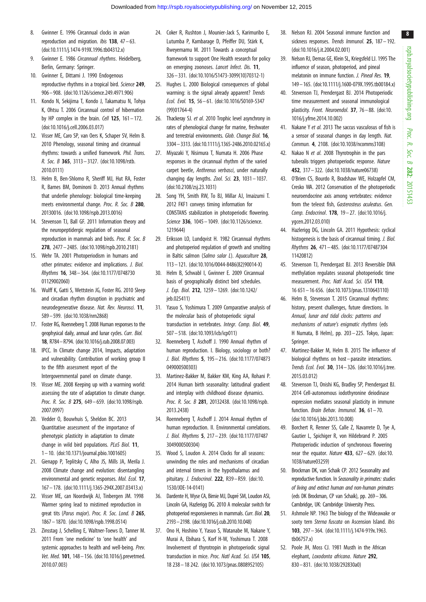- <span id="page-7-0"></span>8. Gwinner E. 1996 Circannual clocks in avian reproduction and migration. *Ibis* **138**,  $47 - 63$ . [\(doi:10.1111/j.1474-919X.1996.tb04312.x](http://dx.doi.org/10.1111/j.1474-919X.1996.tb04312.x))
- 9. Gwinner E. 1986 Circannual rhythms. Heidelberg, Berlin, Germany: Springer.
- 10. Gwinner E, Dittami J. 1990 Endogenous reproductive rhythms in a tropical bird. Science 249, 906– 908. ([doi:10.1126/science.249.4971.906](http://dx.doi.org/10.1126/science.249.4971.906))
- 11. Kondo N, Sekijima T, Kondo J, Takamatsu N, Tohya K, Ohtsu T. 2006 Circannual control of hibernation by HP complex in the brain. Cell  $125$ ,  $161 - 172$ . [\(doi:10.1016/j.cell.2006.03.017\)](http://dx.doi.org/10.1016/j.cell.2006.03.017)
- 12. Visser ME, Caro SP, van Oers K, Schaper SV, Helm B. 2010 Phenology, seasonal timing and circannual rhythms: towards a unified framework. Phil. Trans. R. Soc. B 365, 3113– 3127. ([doi:10.1098/rstb.](http://dx.doi.org/10.1098/rstb.2010.0111) [2010.0111\)](http://dx.doi.org/10.1098/rstb.2010.0111)
- 13. Helm B, Ben-Shlomo R, Sheriff MJ, Hut RA, Foster R, Barnes BM, Dominoni D. 2013 Annual rhythms that underlie phenology: biological time-keeping meets environmental change. Proc. R. Soc. B 280, 20130016. [\(doi:10.1098/rspb.2013.0016\)](http://dx.doi.org/10.1098/rspb.2013.0016)
- 14. Stevenson TJ, Ball GF. 2011 Information theory and the neuropeptidergic regulation of seasonal reproduction in mammals and birds. Proc. R. Soc. B 278, 2477– 2485. [\(doi:10.1098/rspb.2010.2181\)](http://dx.doi.org/10.1098/rspb.2010.2181)
- 15. Wehr TA. 2001 Photoperiodism in humans and other primates: evidence and implications. J. Biol. Rhythms 16, 348– 364. [\(doi:10.1177/0748730](http://dx.doi.org/10.1177/074873001129002060) [01129002060](http://dx.doi.org/10.1177/074873001129002060))
- 16. Wulff K, Gatti S, Wettstein JG, Foster RG. 2010 Sleep and circadian rhythm disruption in psychiatric and neurodegenerative disease. Nat. Rev. Neurosci. 11, 589– 599. ([doi:10.1038/nrn2868\)](http://dx.doi.org/10.1038/nrn2868)
- 17. Foster RG, Roenneberg T. 2008 Human responses to the geophysical daily, annual and lunar cycles. Curr. Biol. 18, R784–R794. ([doi:10.1016/j.cub.2008.07.003](http://dx.doi.org/10.1016/j.cub.2008.07.003))
- 18. IPCC. In Climate change 2014, Impacts, adaptation and vulnerability. Contribution of working group II to the fifth assessment report of the Intergovernmental panel on climate change.
- 19. Visser ME. 2008 Keeping up with a warming world: assessing the rate of adaptation to climate change. Proc. R. Soc. B 275, 649-659. ([doi:10.1098/rspb.](http://dx.doi.org/10.1098/rspb.2007.0997) [2007.0997\)](http://dx.doi.org/10.1098/rspb.2007.0997)
- 20. Vedder O, Bouwhuis S, Sheldon BC. 2013 Quantitative assessment of the importance of phenotypic plasticity in adaptation to climate change in wild bird populations. PLoS Biol. 11, 1– 10. [\(doi:10.1371/journal.pbio.1001605](http://dx.doi.org/10.1371/journal.pbio.1001605))
- 21. Gienapp P, Teplitsky C, Alho JS, Mills JA, Merila J. 2008 Climate change and evolution: disentangling environmental and genetic responses. Mol. Ecol. 17, 167– 178. ([doi:10.1111/j.1365-294X.2007.03413.x](http://dx.doi.org/10.1111/j.1365-294X.2007.03413.x))
- 22. Visser ME, can Noordwijk AJ, Tinbergen JM. 1998 Warmer spring lead to mistimed reproduction in great tits (Parus major). Proc. R. Soc. Lond. B 265, 1867 – 1870. [\(doi:10.1098/rspb.1998.0514](http://dx.doi.org/10.1098/rspb.1998.0514))
- 23. Zinsstag J, Schelling E, Waltner-Toews D, Tanner M. 2011 From 'one medicine' to 'one health' and systemic approaches to health and well-being. Prev. Vet. Med. 101, 148– 156. [\(doi:10.1016/j.prevetmed.](http://dx.doi.org/10.1016/j.prevetmed.2010.07.003) [2010.07.003\)](http://dx.doi.org/10.1016/j.prevetmed.2010.07.003)
- 24. Coker R, Rushton J, Mounier-Jack S, Karimuribo E, Lutumba P, Kambarage D, Pfeiffer DU, Stärk K, Rweyemamu M. 2011 Towards a conceptual framework to support One Health research for policy on emerging zoonoses. Lancet Infect. Dis. 11, 326 – 331. [\(doi:10.1016/S1473-3099\(10\)70312-1](http://dx.doi.org/10.1016/S1473-3099(10)70312-1))
- 25. Hughes L. 2000 Biological consequences of global warming: is the signal already apparent? Trends Ecol. Evol. 15, 56 – 61. [\(doi:10.1016/S0169-5347](http://dx.doi.org/10.1016/S0169-5347(99)01764-4) [\(99\)01764-4\)](http://dx.doi.org/10.1016/S0169-5347(99)01764-4)
- 26. Thackeray SJ. et al. 2010 Trophic level asynchrony in rates of phenological change for marine, freshwater and terrestrial environments. Glob. Change Biol. 16, 3304–3313. ([doi:10.1111/j.1365-2486.2010.02165.x\)](http://dx.doi.org/10.1111/j.1365-2486.2010.02165.x)
- 27. Miyazaki Y, Nisimura T, Numata H. 2006 Phase responses in the circannual rhythm of the varied carpet beetle, Anthrenus verbasci, under naturally changing day lengths. Zool. Sci. 23, 1031-1037. [\(doi:10.2108/zsj.23.1031](http://dx.doi.org/10.2108/zsj.23.1031))
- 28. Song YH, Smith RW, To BJ, Millar AJ, Imaizumi T. 2012 FKF1 conveys timing information for CONSTANS stabilization in photoperiodic flowering. Science 336, 1045 – 1049. [\(doi:10.1126/science.](http://dx.doi.org/10.1126/science.1219644) [1219644\)](http://dx.doi.org/10.1126/science.1219644)
- 29. Eriksson LO, Lundqvist H. 1982 Circannual rhythms and photoperiod regulation of growth and smolting in Baltic salmon (Salmo salar L). Aquaculture 28. 113 – 121. [\(doi:10.1016/0044-8486\(82\)90014-X](http://dx.doi.org/10.1016/0044-8486(82)90014-X))
- 30. Helm B, Schwabl I, Gwinner E. 2009 Circannual basis of geographically distinct bird schedules. J. Exp. Biol. 212, 1259– 1269. ([doi:10.1242/](http://dx.doi.org/10.1242/jeb.025411) ieb.025411)
- 31. Yasuo S, Yoshimura T. 2009 Comparative analysis of the molecular basis of photoperiodic signal transduction in vertebrates. Integr. Comp. Biol. 49, 507 – 518. [\(doi:10.1093/icb/icp011](http://dx.doi.org/10.1093/icb/icp011))
- 32. Roenneberg T, Aschoff J. 1990 Annual rhythm of human reproduction. I. Biology, sociology or both? J. Biol. Rhythms 5, 195 – 216. ([doi:10.1177/074873](http://dx.doi.org/10.1177/074873049000500303) [049000500303](http://dx.doi.org/10.1177/074873049000500303))
- 33. Martinez-Bakker M, Bakker KM, King AA, Rohani P. 2014 Human birth seasonality: latitudinal gradient and interplay with childhood disease dynamics. Proc. R. Soc. B 281, 20132438. [\(doi:10.1098/rspb.](http://dx.doi.org/10.1098/rspb.2013.2438) [2013.2438\)](http://dx.doi.org/10.1098/rspb.2013.2438)
- 34. Roenneberg T, Aschoff J. 2014 Annual rhythm of human reproduction. II. Environmental correlations. J. Biol. Rhythms 5, 217 – 239. ([doi:10.1177/07487](http://dx.doi.org/10.1177/074873049000500304) [3049000500304\)](http://dx.doi.org/10.1177/074873049000500304)
- 35. Wood S, Loudon A. 2014 Clocks for all seasons: unwinding the roles and mechanisms of circadian and interval timers in the hypothalamus and pituitary. J. Endocrinol. 222, R39-R59. [\(doi:10.](http://dx.doi.org/10.1530/JOE-14-0141) [1530/JOE-14-0141](http://dx.doi.org/10.1530/JOE-14-0141))
- 36. Dardente H, Wyse CA, Birnie MJ, Dupré SM, Loudon ASI, Lincoln GA, Hazlerigg DG. 2010 A molecular switch for photoperiod responsiveness in mammals. Curr. Biol. 20, 2193–2198. [\(doi:10.1016/j.cub.2010.10.048\)](http://dx.doi.org/10.1016/j.cub.2010.10.048)
- 37. Ono H, Hoshino Y, Yasuo S, Watanabe M, Nakane Y, Murai A, Ebihara S, Korf H-W, Yoshimura T. 2008 Involvement of thyrotropin in photoperiodic signal transduction in mice. Proc. Natl Acad. Sci. USA 105, 18 238– 18 242. [\(doi:10.1073/pnas.0808952105](http://dx.doi.org/10.1073/pnas.0808952105))
- 38. Nelson RJ. 2004 Seasonal immune function and sickness responses. Trends Immunol. 25, 187-192. ([doi:10.1016/j.it.2004.02.001](http://dx.doi.org/10.1016/j.it.2004.02.001))
- 39. Nelson RJ, Demas GE, Klein SL, Kriegsfeld LJ. 1995 The influence of season, photoperiod, and pineal melatonin on immune function. J. Pineal Res. 19, 149–165. [\(doi:10.1111/j.1600-079X.1995.tb00184.x](http://dx.doi.org/10.1111/j.1600-079X.1995.tb00184.x))
- 40. Stevenson TJ, Prendergast BJ. 2014 Photoperiodic time measurement and seasonal immunological plasticity. Front. Neuroendol. 37, 76 – 88. [\(doi:10.](http://dx.doi.org/10.1016/j.yfrne.2014.10.002) [1016/j.yfrne.2014.10.002](http://dx.doi.org/10.1016/j.yfrne.2014.10.002))
- 41. Nakane Y et al. 2013 The saccus vasculosus of fish is a sensor of seasonal changes in day length. Nat. Commun. 4, 2108. ([doi:10.1038/ncomms3108](http://dx.doi.org/10.1038/ncomms3108))
- 42. Nakao N et al. 2008 Thyrotrophin in the pars tuberalis triggers photoperiodic response. Nature 452, 317– 322. [\(doi:10.1038/nature06738](http://dx.doi.org/10.1038/nature06738))
- 43. O'Brien CS, Bourdo R, Bradshaw WE, Holzapfel CM, Cresko WA. 2012 Conservation of the photoperiodic neuroendocrine axis among vertebrates: evidence from the teleost fish, Gasterosteus aculeatus. Gen. Comp. Endocrinol. 178, 19 – 27. ([doi:10.1016/j.](http://dx.doi.org/10.1016/j.ygcen.2012.03.010) [ygcen.2012.03.010](http://dx.doi.org/10.1016/j.ygcen.2012.03.010))
- 44. Hazlerigg DG, Lincoln GA. 2011 Hypothesis: cyclical histogenesis is the basis of circannual timing. J. Biol. Rhythms 26, 471 – 485. ([doi:10.1177/07487304](http://dx.doi.org/10.1177/0748730411420812) [11420812\)](http://dx.doi.org/10.1177/0748730411420812)
- 45. Stevenson TJ, Prendergast BJ. 2013 Reversible DNA methylation regulates seasonal photoperiodic time measurement. Proc. Natl Acad. Sci. USA 110, 16 651 – 16 656. [\(doi:10.1073/pnas.1310643110](http://dx.doi.org/10.1073/pnas.1310643110))
- 46. Helm B, Stevenson T. 2015 Circannual rhythms: history, present challenges, future directions. In Annual, lunar and tidal clocks: patterns and mechanisms of nature's enigmatic rhythms (eds H Numata, B Helm), pp. 203– 225. Tokyo, Japan: Springer.
- 47. Martinez-Bakker M, Helm B. 2015 The influence of biological rhythms on host–parasite interactions. Trends Ecol. Evol. 30, 314– 326. ([doi:10.1016/j.tree.](http://dx.doi.org/10.1016/j.tree.2015.03.012) [2015.03.012](http://dx.doi.org/10.1016/j.tree.2015.03.012))
- 48. Stevenson TJ, Onishi KG, Bradley SP, Prendergast BJ. 2014 Cell-autonomous iodothyronine deiodinase expression mediates seasonal plasticity in immune function. Brain Behav. Immunol. 36, 61-70. ([doi:10.1016/j.bbi.2013.10.008](http://dx.doi.org/10.1016/j.bbi.2013.10.008))
- 49. Borchert R, Renner SS, Calle Z, Navarrete D, Tye A, Gautier L, Spichiger R, von Hildebrand P. 2005 Photoperiodic induction of synchronous flowering near the equator. Nature  $433$ ,  $627 - 629$ . ([doi:10.](http://dx.doi.org/10.1038/nature03259) [1038/nature03259](http://dx.doi.org/10.1038/nature03259))
- 50. Brockman DK, van Schaik CP. 2012 Seasonality and reproductive function. In Seasonality in primates: studies of living and extinct human and non-human primates (eds DK Brockman, CP van Schaik), pp. 269–306. Cambridge, UK: Cambridge University Press.
- 51. Ashmole NP. 1963 The biology of the Wideawake or sooty tern Sterna fuscata on Ascension Island. Ibis 103, 297– 364. [\(doi:10.1111/j.1474-919x.1963.](http://dx.doi.org/10.1111/j.1474-919x.1963.tb06757.x) [tb06757.x](http://dx.doi.org/10.1111/j.1474-919x.1963.tb06757.x))
- 52. Poole JH, Moss CJ. 1981 Musth in the African elephant, Loxodonta africana. Nature 292, 830– 831. [\(doi:10.1038/292830a0\)](http://dx.doi.org/10.1038/292830a0)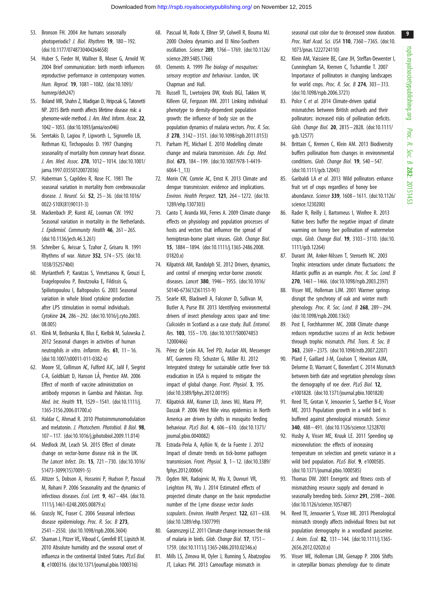- <span id="page-8-0"></span>53. Bronson FH. 2004 Are humans seasonally photoperiodic? J. Biol. Rhythms 19, 180– 192. [\(doi:10.1177/0748730404264658\)](http://dx.doi.org/10.1177/0748730404264658)
- 54. Huber S, Fieder M, Wallner B, Moser G, Arnold W. 2004 Brief communication: birth month influences reproductive performance in contemporary women. Hum. Reprod. 19, 1081– 1082. [\(doi:10.1093/](http://dx.doi.org/10.1093/humrep/deh247) [humrep/deh247](http://dx.doi.org/10.1093/humrep/deh247))
- 55. Boland MR, Shahn Z, Madigan D, Hripcsak G, Tatonetti NP. 2015 Birth month affects lifetime disease risk: a phenome-wide method. J. Am. Med. Inform. Assoc. 22, 1042–1053. [\(doi:10.1093/jamia/ocv046\)](http://dx.doi.org/10.1093/jamia/ocv046)
- 56. Seretakis D, Lagiou P, Lipworth L, Signorello LB, Rothman KJ, Tirchopoulos D. 1997 Changing seasonality of mortality from coronary heart disease. J. Am. Med. Assoc. 278, 1012– 1014. ([doi:10.1001/](http://dx.doi.org/10.1001/jama.1997.03550120072036) [jama.1997.03550120072036\)](http://dx.doi.org/10.1001/jama.1997.03550120072036)
- 57. Haberman S, Capildeo R, Rose FC. 1981 The seasonal variation in mortality from cerebrovascular disease. J. Neurol. Sci. 52, 25– 36. [\(doi:10.1016/](http://dx.doi.org/10.1016/0022-510X(81)90131-3) [0022-510X\(81\)90131-3\)](http://dx.doi.org/10.1016/0022-510X(81)90131-3)
- 58. Mackenbach JP, Kunst AE, Looman CW. 1992 Seasonal variation in mortality in the Netherlands. J. Epidemiol. Community Health  $46$ ,  $261-265$ . [\(doi:10.1136/jech.46.3.261](http://dx.doi.org/10.1136/jech.46.3.261))
- 59. Schreiber G, Avissar S, Tzahor Z, Grisaru N. 1991 Rhythms of war. Nature 352, 574 – 575. ([doi:10.](http://dx.doi.org/10.1038/352574b0) [1038/352574b0](http://dx.doi.org/10.1038/352574b0))
- 60. Myrianthefs P, Karatzas S, Venetsanou K, Grouzi E, Evagelopoulou P, Boutzouka E, Fildissis G, Spiliotopoulou I, Baltopoulos G. 2003 Seasonal variation in whole blood cytokine production after LPS stimulation in normal individuals. Cytokine 24, 286– 292. [\(doi:10.1016/j.cyto.2003.](http://dx.doi.org/10.1016/j.cyto.2003.08.005) [08.005\)](http://dx.doi.org/10.1016/j.cyto.2003.08.005)
- 61. Klink M, Bednarska K, Blus E, Kielbik M, Sulowska Z. 2012 Seasonal changes in activities of human neutrophils in vitro. Inflamm. Res.  $61$ ,  $11 - 16$ . [\(doi:10.1007/s00011-011-0382-x](http://dx.doi.org/10.1007/s00011-011-0382-x))
- 62. Moore SE, Collinson AC, Fulford AJC, Jalil F, Siegrist C-A, Goldblatt D, Hanson LA˚, Prentice AM. 2006 Effect of month of vaccine administration on antibody responses in Gambia and Pakistan. Trop. Med. Int. Health 11, 1529– 1541. [\(doi:10.1111/j.](http://dx.doi.org/10.1111/j.1365-3156.2006.01700.x) [1365-3156.2006.01700.x\)](http://dx.doi.org/10.1111/j.1365-3156.2006.01700.x)
- 63. Haldar C, Ahmad R. 2010 Photoimmunomodulation and melatonin. J. Photochem. Photobiol. B Biol. 98. 107– 117. ([doi:10.1016/j.jphotobiol.2009.11.014\)](http://dx.doi.org/10.1016/j.jphotobiol.2009.11.014)
- 64. Medlock JM, Leach SA. 2015 Effect of climate change on vector-borne disease risk in the UK. The Lancet Infect. Dis. 15, 721– 730. ([doi:10.1016/](http://dx.doi.org/10.1016/S1473-3099(15)70091-5) [S1473-3099\(15\)70091-5\)](http://dx.doi.org/10.1016/S1473-3099(15)70091-5)
- 65. Altizer S, Dobson A, Hosseini P, Hudson P, Pascual M, Rohani P. 2006 Seasonality and the dynamics of infectious diseases. Ecol. Lett. 9, 467 – 484. ([doi:10.](http://dx.doi.org/10.1111/j.1461-0248.2005.00879.x) [1111/j.1461-0248.2005.00879.x](http://dx.doi.org/10.1111/j.1461-0248.2005.00879.x))
- 66. Grassly NC, Fraser C. 2006 Seasonal infectious disease epidemiology. Proc. R. Soc. B 273, 2541 – 2550. [\(doi:10.1098/rspb.2006.3604](http://dx.doi.org/10.1098/rspb.2006.3604))
- 67. Shaman J, Pitzer VE, Viboud C, Grenfell BT, Lipsitch M. 2010 Absolute humidity and the seasonal onset of influenza in the continental United States. PLoS Biol. 8, e1000316. ([doi:10.1371/journal.pbio.1000316](http://dx.doi.org/10.1371/journal.pbio.1000316))
- 68. Pascual M, Rodo X, Ellner SP, Colwell R, Bouma MJ. 2000 Cholera dynamics and El Nino-Southern oscillation. Science 289, 1766– 1769. [\(doi:10.1126/](http://dx.doi.org/10.1126/science.289.5485.1766) [science.289.5485.1766](http://dx.doi.org/10.1126/science.289.5485.1766))
- 69. Clements A. 1999 The biology of mosquitoes: sensory reception and behaviour. London, UK: Chapman and Hall.
- 70. Russell TL, Lwetoijera DW, Knols BGJ, Takken W, Killeen GF, Ferguson HM. 2011 Linking individual phenotype to density-dependent population growth: the influence of body size on the population dynamics of malaria vectors. Proc. R. Soc. B 278, 3142– 3151. ([doi:10.1098/rspb.2011.0153](http://dx.doi.org/10.1098/rspb.2011.0153))
- 71. Parham PE, Michael E. 2010 Modelling climate change and malaria transmission. Adv. Exp. Med. Biol. 673, 184 – 199. [\(doi:10.1007/978-1-4419-](http://dx.doi.org/10.1007/978-1-4419-6064-1_13) [6064-1\\_13](http://dx.doi.org/10.1007/978-1-4419-6064-1_13))
- 72. Morin CW, Comrie AC, Ernst K. 2013 Climate and dengue transmission: evidence and implications. Environ. Health Perspect. 121, 264– 1272. ([doi:10.](http://dx.doi.org/10.1289/ehp.1307303) [1289/ehp.1307303](http://dx.doi.org/10.1289/ehp.1307303))
- 73. Canto T, Aranda MA, Ferres A. 2009 Climate change effects on physiology and population processes of hosts and vectors that influence the spread of hemipteran-borne plant viruses. Glob. Change Biol. 15, 1884 – 1894. [\(doi:10.1111/j.1365-2486.2008.](http://dx.doi.org/10.1111/j.1365-2486.2008.01820.x) [01820.x](http://dx.doi.org/10.1111/j.1365-2486.2008.01820.x))
- 74. Kilpatrick AM, Randolph SE. 2012 Drivers, dynamics, and control of emerging vector-borne zoonotic diseases. Lancet 380, 1946– 1955. [\(doi:10.1016/](http://dx.doi.org/10.1016/S0140-6736(12)61151-9) [S0140-6736\(12\)61151-9](http://dx.doi.org/10.1016/S0140-6736(12)61151-9))
- 75. Searle KR, Blackwell A, Falconer D, Sullivan M, Butler A, Purse BV. 2013 Identifying environmental drivers of insect phenology across space and time: Culicoides in Scotland as a case study. Bull. Entomol. Res. 103, 155– 170. ([doi:10.1017/S00074853](http://dx.doi.org/10.1017/S0007485312000466) [12000466\)](http://dx.doi.org/10.1017/S0007485312000466)
- 76. Pérez de León AA, Teel PD, Auclair AN, Messenger MT, Guerrero FD, Schuster G, Miller RJ. 2012 Integrated strategy for sustainable cattle fever tick eradication in USA is required to mitigate the impact of global change. Front. Physiol. 3, 195. [\(doi:10.3389/fphys.2012.00195\)](http://dx.doi.org/10.3389/fphys.2012.00195)
- 77. Kilpatrick AM, Kramer LD, Jones MJ, Marra PP, Daszak P. 2006 West Nile virus epidemics in North America are driven by shifts in mosquito feeding behaviour. PLoS Biol. 4, 606– 610. ([doi:10.1371/](http://dx.doi.org/10.1371/journal.pbio.0040082) [journal.pbio.0040082](http://dx.doi.org/10.1371/journal.pbio.0040082))
- 78. Estrada-Peña A, Ayllón N, de la Fuente J. 2012 Impact of climate trends on tick-borne pathogen transmission. Front. Physiol.  $3.1 - 12.$  [\(doi:10.3389/](http://dx.doi.org/10.3389/fphys.2012.00064) [fphys.2012.00064](http://dx.doi.org/10.3389/fphys.2012.00064))
- 79. Ogden NH, Radojevic M, Wu X, Duvvuri VR, Leighton PA, Wu J. 2014 Estimated effects of projected climate change on the basic reproductive number of the Lyme disease vector Ixodes scapularis. Environ. Health Perspect. 122, 631– 638. [\(doi:10.1289/ehp.1307799](http://dx.doi.org/10.1289/ehp.1307799))
- 80. Garamszegi LZ. 2011 Climate change increases the risk of malaria in birds. Glob. Change Biol. 17, 1751– 1759. ([doi:10.1111/j.1365-2486.2010.02346.x\)](http://dx.doi.org/10.1111/j.1365-2486.2010.02346.x)
- 81. Mills LS, Zimova M, Oyler J, Running S, Abatzoglou JT, Lukacs PM. 2013 Camouflage mismatch in

seasonal coat color due to decreased snow duration. Proc. Natl Acad. Sci. USA 110, 7360-7365. [\(doi:10.](http://dx.doi.org/10.1073/pnas.1222724110) [1073/pnas.1222724110\)](http://dx.doi.org/10.1073/pnas.1222724110)

- 82. Klein AM, Vaissiere BE, Cane JH, Steffan-Dewenter I, Cunningham SA, Kremen C, Tscharntke T. 2007 Importance of pollinators in changing landscapes for world crops. Proc. R. Soc. B 274, 303– 313. ([doi:10.1098/rspb.2006.3721\)](http://dx.doi.org/10.1098/rspb.2006.3721)
- 83. Polce C et al. 2014 Climate-driven spatial mismatches between British orchards and their pollinators: increased risks of pollination deficits. Glob. Change Biol. 20, 2815– 2828. ([doi:10.1111/](http://dx.doi.org/10.1111/gcb.12577) [gcb.12577](http://dx.doi.org/10.1111/gcb.12577))
- 84. Brittain C, Kremen C, Klein AM. 2013 Biodiversity buffers pollination from changes in environmental conditions. Glob. Change Biol. 19, 540 – 547. ([doi:10.1111/gcb.12043\)](http://dx.doi.org/10.1111/gcb.12043)
- 85. Garibaldi LA et al. 2013 Wild pollinators enhance fruit set of crops regardless of honey bee abundance. Science 339, 1608 – 1611. [\(doi:10.1126/](http://dx.doi.org/10.1126/science.1230200) [science.1230200](http://dx.doi.org/10.1126/science.1230200))
- 86. Rader R, Reilly J, Bartomeus I, Winfree R. 2013 Native bees buffer the negative impact of climate warming on honey bee pollination of watermelon crops. Glob. Change Biol. 19, 3103 – 3110. [\(doi:10.](http://dx.doi.org/10.1111/gcb.12264) [1111/gcb.12264\)](http://dx.doi.org/10.1111/gcb.12264)
- 87. Durant JM, Anker-Nilssen T, Stenseth NC. 2003 Trophic interactions under climate fluctuations: the Atlantic puffin as an example. Proc. R. Soc. Lond. B 270, 1461– 1466. ([doi:10.1098/rspb.2003.2397\)](http://dx.doi.org/10.1098/rspb.2003.2397)
- 88. Visser ME, Holleman LJM. 2001 Warmer springs disrupt the synchrony of oak and winter moth phenology. Proc. R. Soc. Lond. B  $268$ ,  $289-294$ . ([doi:10.1098/rspb.2000.1363\)](http://dx.doi.org/10.1098/rspb.2000.1363)
- 89. Post E, Forchhammer MC. 2008 Climate change reduces reproductive success of an Arctic herbivore through trophic mismatch. Phil. Trans. R. Soc. B 363, 2369– 2375. ([doi:10.1098/rstb.2007.2207](http://dx.doi.org/10.1098/rstb.2007.2207))
- 90. Plard F, Gaillard J-M, Coulson T, Hewison AJM, Delorme D, Warnant C, Bonenfant C. 2014 Mismatch between birth date and vegetation phenology slows the demography of roe deer. PLoS Biol. 12, e1001828. [\(doi:10.1371/journal.pbio.1001828](http://dx.doi.org/10.1371/journal.pbio.1001828))
- 91. Reed TE, Grotan V, Jenouvrier S, Saether B-E, Visser ME. 2013 Population growth in a wild bird is buffered against phenological mismatch. Science 340, 488– 491. [\(doi:10.1126/science.1232870](http://dx.doi.org/10.1126/science.1232870))
- 92. Husby A, Visser ME, Kruuk LE. 2011 Speeding up microevolution: the effects of increasing temperature on selection and genetic variance in a wild bird population. PLoS Biol. 9, e1000585. ([doi:10.1371/journal.pbio.1000585\)](http://dx.doi.org/10.1371/journal.pbio.1000585)
- 93. Thomas DW. 2001 Energetic and fitness costs of mismatching resource supply and demand in seasonally breeding birds. Science 291, 2598 - 2600. ([doi:10.1126/science.1057487](http://dx.doi.org/10.1126/science.1057487))
- 94. Reed TE, Jenouvrier S, Visser ME. 2013 Phenological mismatch strongly affects individual fitness but not population demography in a woodland passerine. J. Anim. Ecol. 82, 131– 144. [\(doi:10.1111/j.1365-](http://dx.doi.org/10.1111/j.1365-2656.2012.02020.x) [2656.2012.02020.x\)](http://dx.doi.org/10.1111/j.1365-2656.2012.02020.x)
- 95. Visser ME, Holleman LJM, Gienapp P. 2006 Shifts in caterpillar biomass phenology due to climate